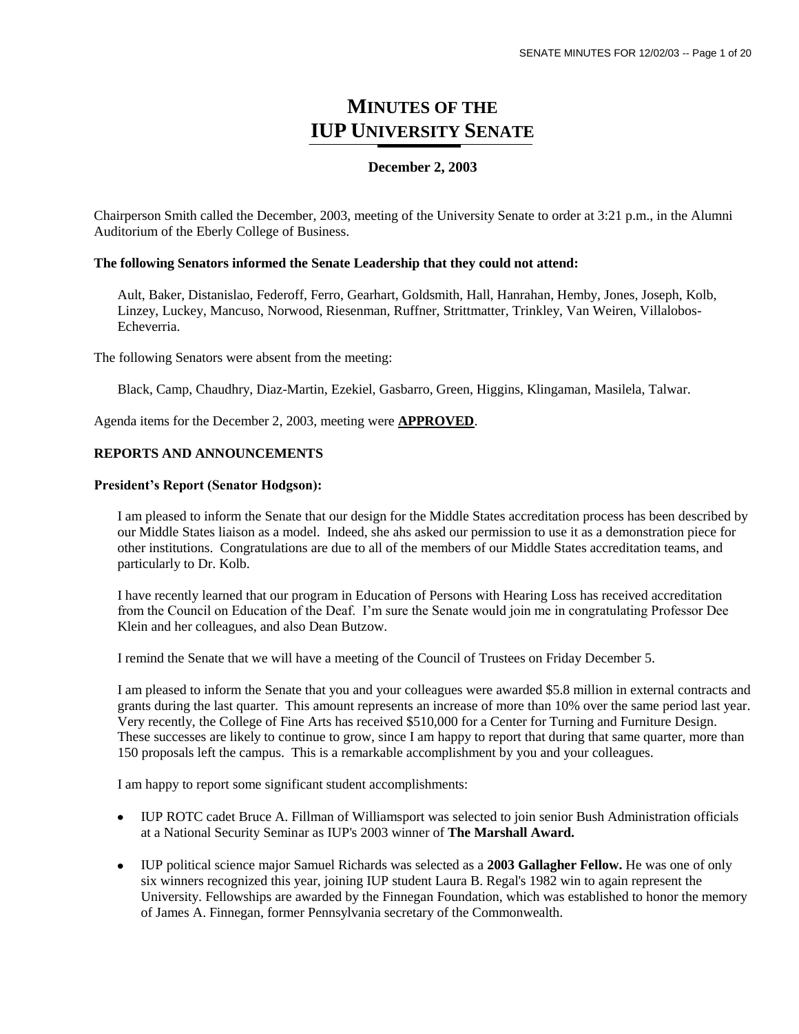# **MINUTES OF THE IUP UNIVERSITY SENATE**

## **December 2, 2003**

Chairperson Smith called the December, 2003, meeting of the University Senate to order at 3:21 p.m., in the Alumni Auditorium of the Eberly College of Business.

### **The following Senators informed the Senate Leadership that they could not attend:**

Ault, Baker, Distanislao, Federoff, Ferro, Gearhart, Goldsmith, Hall, Hanrahan, Hemby, Jones, Joseph, Kolb, Linzey, Luckey, Mancuso, Norwood, Riesenman, Ruffner, Strittmatter, Trinkley, Van Weiren, Villalobos-Echeverria.

The following Senators were absent from the meeting:

Black, Camp, Chaudhry, Diaz-Martin, Ezekiel, Gasbarro, Green, Higgins, Klingaman, Masilela, Talwar.

Agenda items for the December 2, 2003, meeting were **APPROVED**.

## **REPORTS AND ANNOUNCEMENTS**

#### **President's Report (Senator Hodgson):**

I am pleased to inform the Senate that our design for the Middle States accreditation process has been described by our Middle States liaison as a model. Indeed, she ahs asked our permission to use it as a demonstration piece for other institutions. Congratulations are due to all of the members of our Middle States accreditation teams, and particularly to Dr. Kolb.

I have recently learned that our program in Education of Persons with Hearing Loss has received accreditation from the Council on Education of the Deaf. I'm sure the Senate would join me in congratulating Professor Dee Klein and her colleagues, and also Dean Butzow.

I remind the Senate that we will have a meeting of the Council of Trustees on Friday December 5.

I am pleased to inform the Senate that you and your colleagues were awarded \$5.8 million in external contracts and grants during the last quarter. This amount represents an increase of more than 10% over the same period last year. Very recently, the College of Fine Arts has received \$510,000 for a Center for Turning and Furniture Design. These successes are likely to continue to grow, since I am happy to report that during that same quarter, more than 150 proposals left the campus. This is a remarkable accomplishment by you and your colleagues.

I am happy to report some significant student accomplishments:

- IUP ROTC cadet Bruce A. Fillman of Williamsport was selected to join senior Bush Administration officials at a National Security Seminar as IUP's 2003 winner of **The Marshall Award.**
- IUP political science major Samuel Richards was selected as a **2003 Gallagher Fellow.** He was one of only six winners recognized this year, joining IUP student Laura B. Regal's 1982 win to again represent the University. Fellowships are awarded by the Finnegan Foundation, which was established to honor the memory of James A. Finnegan, former Pennsylvania secretary of the Commonwealth.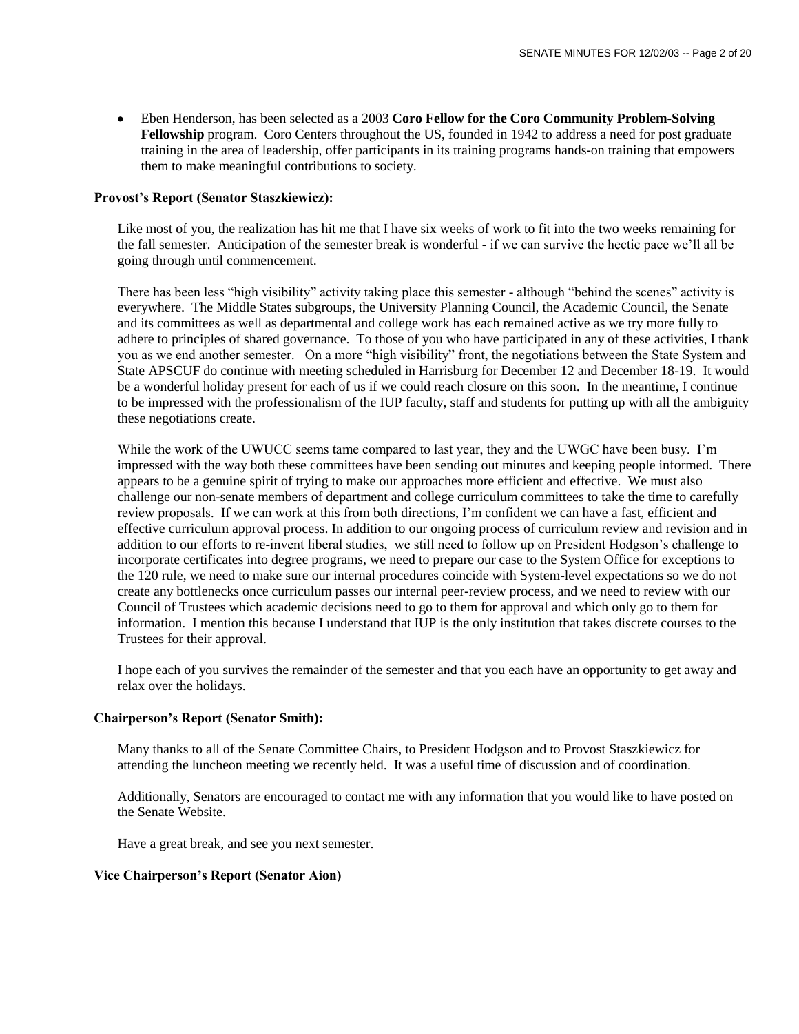Eben Henderson, has been selected as a 2003 **Coro Fellow for the Coro Community Problem-Solving Fellowship** program. Coro Centers throughout the US, founded in 1942 to address a need for post graduate training in the area of leadership, offer participants in its training programs hands-on training that empowers them to make meaningful contributions to society.

## **Provost's Report (Senator Staszkiewicz):**

Like most of you, the realization has hit me that I have six weeks of work to fit into the two weeks remaining for the fall semester. Anticipation of the semester break is wonderful - if we can survive the hectic pace we'll all be going through until commencement.

There has been less "high visibility" activity taking place this semester - although "behind the scenes" activity is everywhere. The Middle States subgroups, the University Planning Council, the Academic Council, the Senate and its committees as well as departmental and college work has each remained active as we try more fully to adhere to principles of shared governance. To those of you who have participated in any of these activities, I thank you as we end another semester. On a more "high visibility" front, the negotiations between the State System and State APSCUF do continue with meeting scheduled in Harrisburg for December 12 and December 18-19. It would be a wonderful holiday present for each of us if we could reach closure on this soon. In the meantime, I continue to be impressed with the professionalism of the IUP faculty, staff and students for putting up with all the ambiguity these negotiations create.

While the work of the UWUCC seems tame compared to last year, they and the UWGC have been busy. I'm impressed with the way both these committees have been sending out minutes and keeping people informed. There appears to be a genuine spirit of trying to make our approaches more efficient and effective. We must also challenge our non-senate members of department and college curriculum committees to take the time to carefully review proposals. If we can work at this from both directions, I'm confident we can have a fast, efficient and effective curriculum approval process. In addition to our ongoing process of curriculum review and revision and in addition to our efforts to re-invent liberal studies, we still need to follow up on President Hodgson's challenge to incorporate certificates into degree programs, we need to prepare our case to the System Office for exceptions to the 120 rule, we need to make sure our internal procedures coincide with System-level expectations so we do not create any bottlenecks once curriculum passes our internal peer-review process, and we need to review with our Council of Trustees which academic decisions need to go to them for approval and which only go to them for information. I mention this because I understand that IUP is the only institution that takes discrete courses to the Trustees for their approval.

I hope each of you survives the remainder of the semester and that you each have an opportunity to get away and relax over the holidays.

### **Chairperson's Report (Senator Smith):**

Many thanks to all of the Senate Committee Chairs, to President Hodgson and to Provost Staszkiewicz for attending the luncheon meeting we recently held. It was a useful time of discussion and of coordination.

Additionally, Senators are encouraged to contact me with any information that you would like to have posted on the Senate Website.

Have a great break, and see you next semester.

### **Vice Chairperson's Report (Senator Aion)**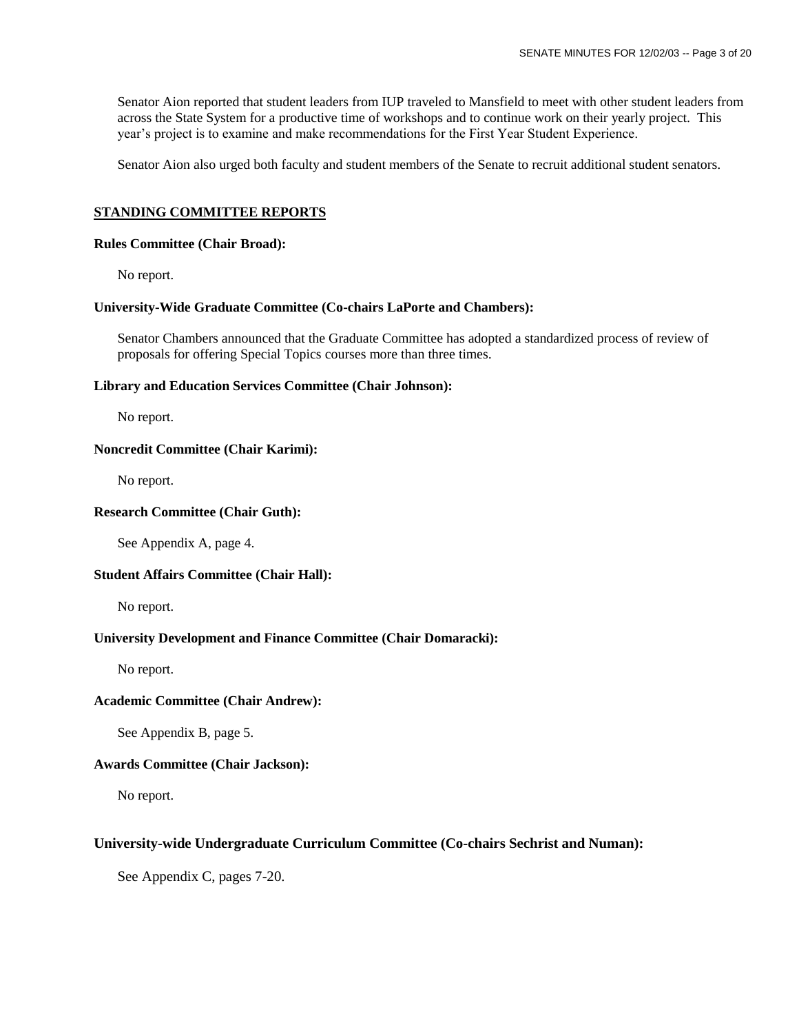Senator Aion reported that student leaders from IUP traveled to Mansfield to meet with other student leaders from across the State System for a productive time of workshops and to continue work on their yearly project. This year's project is to examine and make recommendations for the First Year Student Experience.

Senator Aion also urged both faculty and student members of the Senate to recruit additional student senators.

## **STANDING COMMITTEE REPORTS**

#### **Rules Committee (Chair Broad):**

No report.

#### **University-Wide Graduate Committee (Co-chairs LaPorte and Chambers):**

Senator Chambers announced that the Graduate Committee has adopted a standardized process of review of proposals for offering Special Topics courses more than three times.

#### **Library and Education Services Committee (Chair Johnson):**

No report.

### **Noncredit Committee (Chair Karimi):**

No report.

#### **Research Committee (Chair Guth):**

See Appendix A, page 4.

### **Student Affairs Committee (Chair Hall):**

No report.

### **University Development and Finance Committee (Chair Domaracki):**

No report.

### **Academic Committee (Chair Andrew):**

See Appendix B, page 5.

### **Awards Committee (Chair Jackson):**

No report.

### **University-wide Undergraduate Curriculum Committee (Co-chairs Sechrist and Numan):**

See Appendix C, pages 7-20.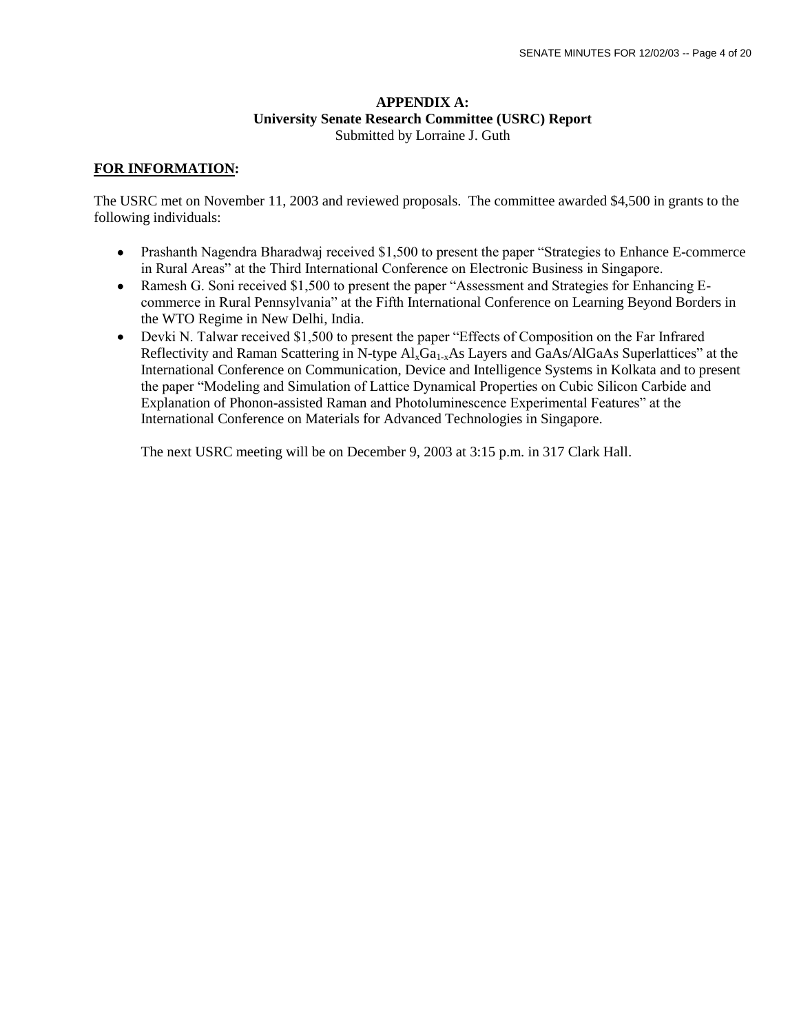## **APPENDIX A: University Senate Research Committee (USRC) Report** Submitted by Lorraine J. Guth

## **FOR INFORMATION:**

The USRC met on November 11, 2003 and reviewed proposals. The committee awarded \$4,500 in grants to the following individuals:

- Prashanth Nagendra Bharadwaj received \$1,500 to present the paper "Strategies to Enhance E-commerce" in Rural Areas" at the Third International Conference on Electronic Business in Singapore.
- Ramesh G. Soni received \$1,500 to present the paper "Assessment and Strategies for Enhancing Ecommerce in Rural Pennsylvania" at the Fifth International Conference on Learning Beyond Borders in the WTO Regime in New Delhi, India.
- Devki N. Talwar received \$1,500 to present the paper "Effects of Composition on the Far Infrared Reflectivity and Raman Scattering in N-type  $Al_xGa_{1-x}As$  Layers and GaAs/AlGaAs Superlattices" at the International Conference on Communication, Device and Intelligence Systems in Kolkata and to present the paper "Modeling and Simulation of Lattice Dynamical Properties on Cubic Silicon Carbide and Explanation of Phonon-assisted Raman and Photoluminescence Experimental Features" at the International Conference on Materials for Advanced Technologies in Singapore.

The next USRC meeting will be on December 9, 2003 at 3:15 p.m. in 317 Clark Hall.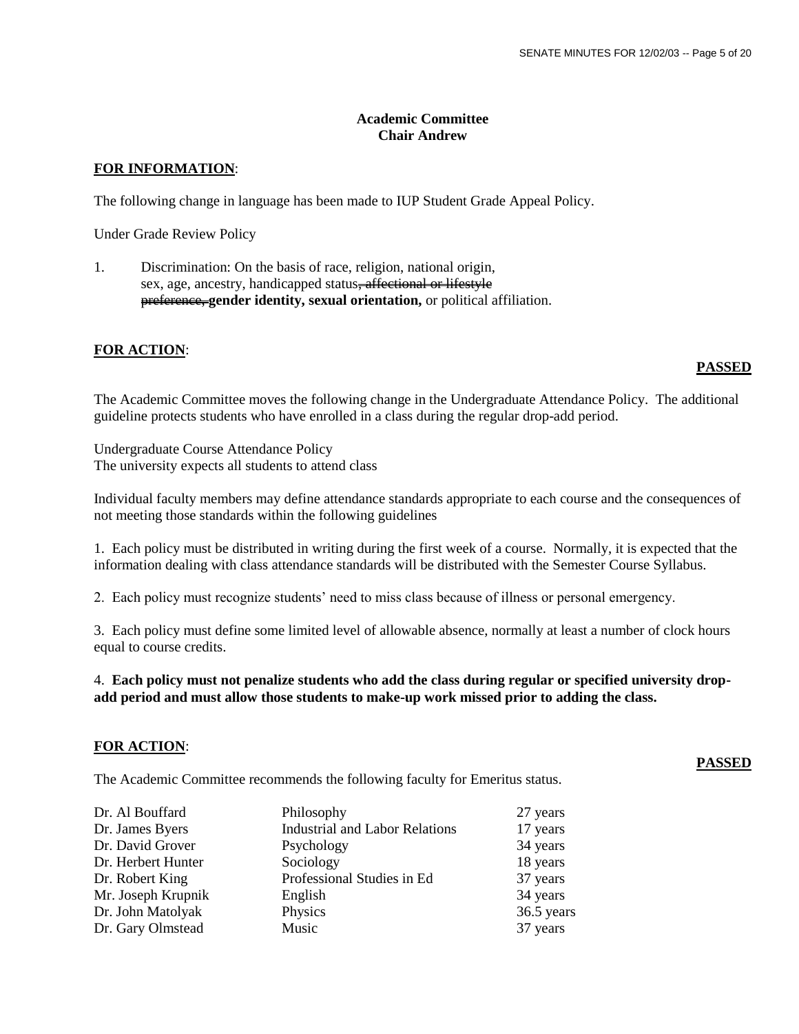# **Academic Committee Chair Andrew**

## **FOR INFORMATION**:

The following change in language has been made to IUP Student Grade Appeal Policy.

Under Grade Review Policy

1. Discrimination: On the basis of race, religion, national origin, sex, age, ancestry, handicapped status<del>, affectional or lifestyle</del> preference, **gender identity, sexual orientation,** or political affiliation.

## **FOR ACTION**:

## **PASSED**

The Academic Committee moves the following change in the Undergraduate Attendance Policy. The additional guideline protects students who have enrolled in a class during the regular drop-add period.

Undergraduate Course Attendance Policy The university expects all students to attend class

Individual faculty members may define attendance standards appropriate to each course and the consequences of not meeting those standards within the following guidelines

1. Each policy must be distributed in writing during the first week of a course. Normally, it is expected that the information dealing with class attendance standards will be distributed with the Semester Course Syllabus.

2. Each policy must recognize students' need to miss class because of illness or personal emergency.

3. Each policy must define some limited level of allowable absence, normally at least a number of clock hours equal to course credits.

4. **Each policy must not penalize students who add the class during regular or specified university dropadd period and must allow those students to make-up work missed prior to adding the class.**

### **FOR ACTION**:

The Academic Committee recommends the following faculty for Emeritus status.

| Philosophy                            | 27 years   |
|---------------------------------------|------------|
| <b>Industrial and Labor Relations</b> | 17 years   |
|                                       | 34 years   |
| Sociology                             | 18 years   |
| Professional Studies in Ed            | 37 years   |
| English                               | 34 years   |
| Physics                               | 36.5 years |
| Music                                 | 37 years   |
|                                       | Psychology |

### **PASSED**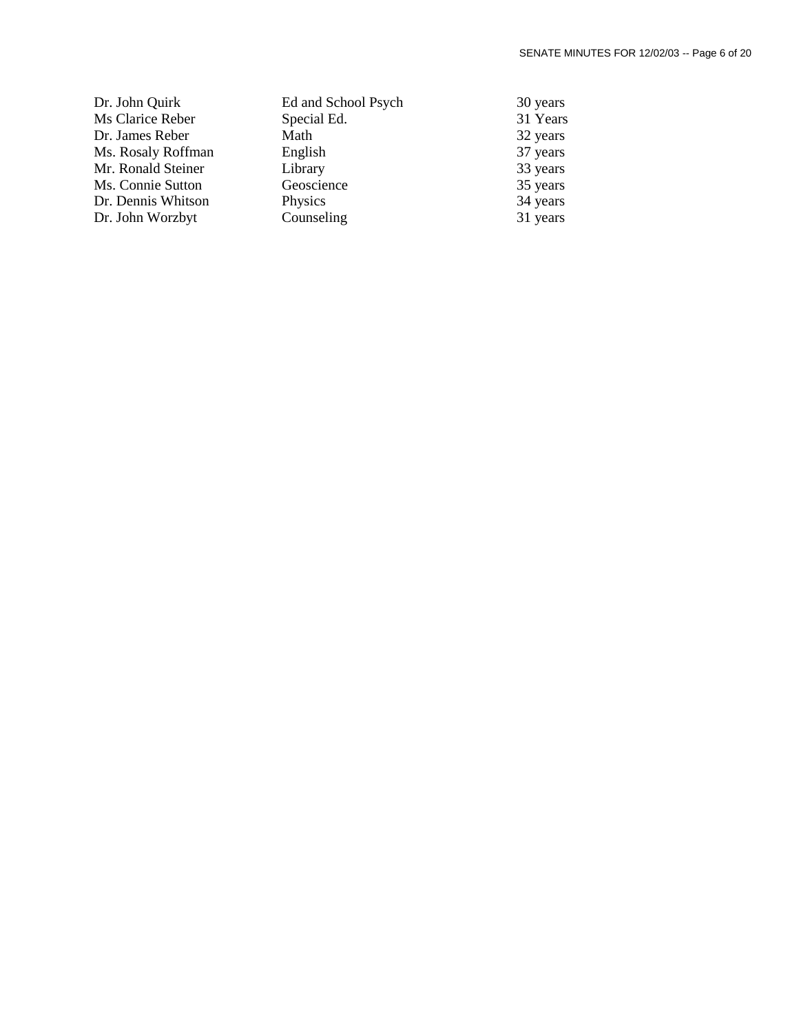| Dr. John Quirk     | Ed and School Psych | 30 years |
|--------------------|---------------------|----------|
| Ms Clarice Reber   | Special Ed.         | 31 Years |
| Dr. James Reber    | Math                | 32 years |
| Ms. Rosaly Roffman | English             | 37 years |
| Mr. Ronald Steiner | Library             | 33 years |
| Ms. Connie Sutton  | Geoscience          | 35 years |
| Dr. Dennis Whitson | Physics             | 34 years |
| Dr. John Worzbyt   | Counseling          | 31 years |
|                    |                     |          |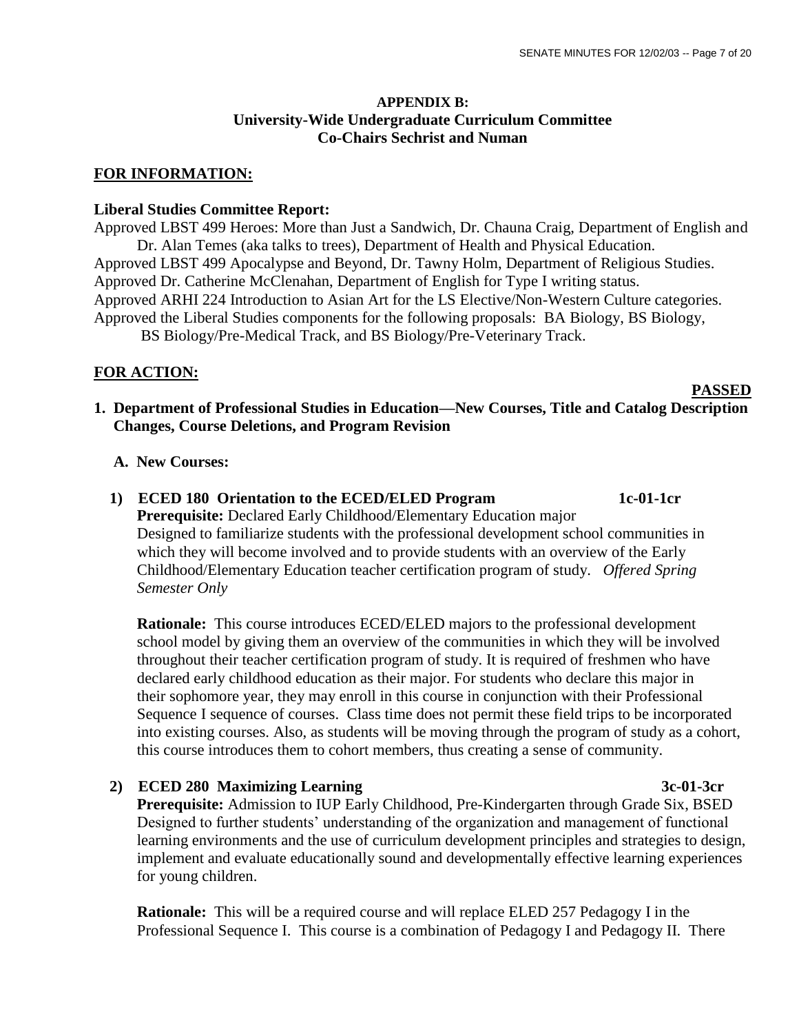# **APPENDIX B: University-Wide Undergraduate Curriculum Committee Co-Chairs Sechrist and Numan**

## **FOR INFORMATION:**

## **Liberal Studies Committee Report:**

Approved LBST 499 Heroes: More than Just a Sandwich, Dr. Chauna Craig, Department of English and Dr. Alan Temes (aka talks to trees), Department of Health and Physical Education. Approved LBST 499 Apocalypse and Beyond, Dr. Tawny Holm, Department of Religious Studies. Approved Dr. Catherine McClenahan, Department of English for Type I writing status. Approved ARHI 224 Introduction to Asian Art for the LS Elective/Non-Western Culture categories. Approved the Liberal Studies components for the following proposals: BA Biology, BS Biology,

BS Biology/Pre-Medical Track, and BS Biology/Pre-Veterinary Track.

# **FOR ACTION:**

#### **PASSED**

**1. Department of Professional Studies in Education—New Courses, Title and Catalog Description Changes, Course Deletions, and Program Revision**

# **A. New Courses:**

 **1) ECED 180 Orientation to the ECED/ELED Program 1c-01-1cr Prerequisite:** Declared Early Childhood/Elementary Education major Designed to familiarize students with the professional development school communities in which they will become involved and to provide students with an overview of the Early Childhood/Elementary Education teacher certification program of study. *Offered Spring Semester Only*

 **Rationale:** This course introduces ECED/ELED majors to the professional development school model by giving them an overview of the communities in which they will be involved throughout their teacher certification program of study. It is required of freshmen who have declared early childhood education as their major. For students who declare this major in their sophomore year, they may enroll in this course in conjunction with their Professional Sequence I sequence of courses. Class time does not permit these field trips to be incorporated into existing courses. Also, as students will be moving through the program of study as a cohort, this course introduces them to cohort members, thus creating a sense of community.

# 2) **ECED 280 Maximizing Learning 3c-01-3cr**

 **Prerequisite:** Admission to IUP Early Childhood, Pre-Kindergarten through Grade Six, BSED Designed to further students' understanding of the organization and management of functional learning environments and the use of curriculum development principles and strategies to design, implement and evaluate educationally sound and developmentally effective learning experiences for young children.

 **Rationale:** This will be a required course and will replace ELED 257 Pedagogy I in the Professional Sequence I. This course is a combination of Pedagogy I and Pedagogy II. There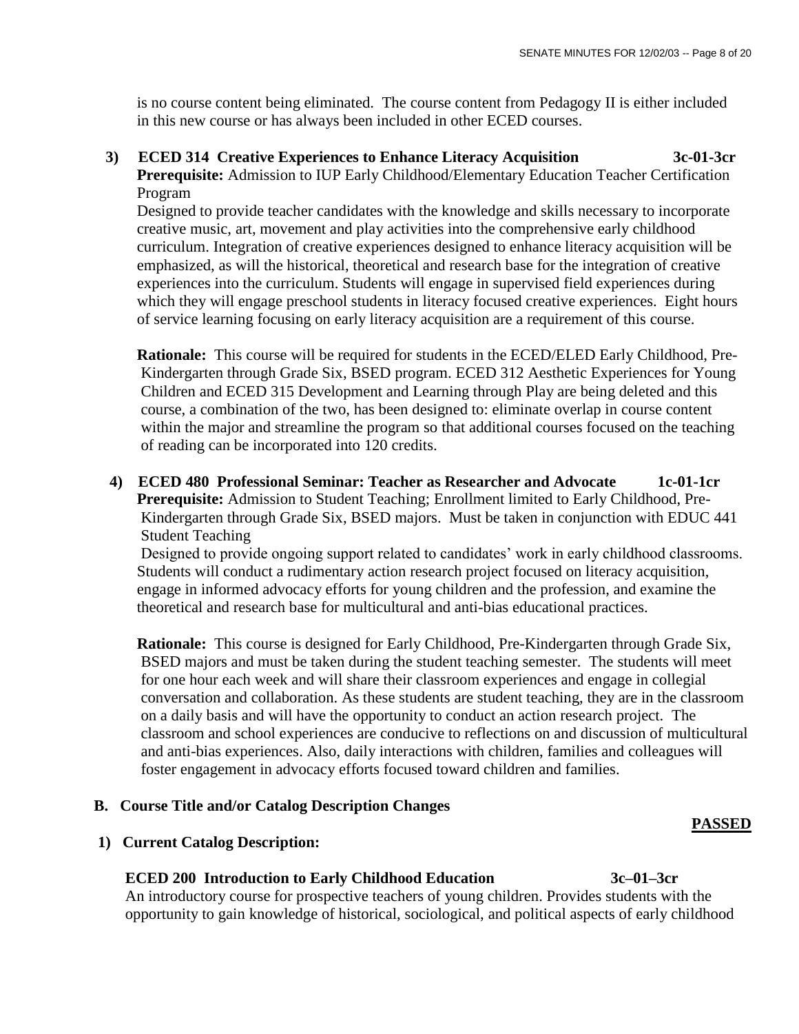is no course content being eliminated. The course content from Pedagogy II is either included in this new course or has always been included in other ECED courses.

# **3) ECED 314 Creative Experiences to Enhance Literacy Acquisition 3c-01-3cr Prerequisite:** Admission to IUP Early Childhood/Elementary Education Teacher Certification Program

 Designed to provide teacher candidates with the knowledge and skills necessary to incorporate creative music, art, movement and play activities into the comprehensive early childhood curriculum. Integration of creative experiences designed to enhance literacy acquisition will be emphasized, as will the historical, theoretical and research base for the integration of creative experiences into the curriculum. Students will engage in supervised field experiences during which they will engage preschool students in literacy focused creative experiences. Eight hours of service learning focusing on early literacy acquisition are a requirement of this course.

 **Rationale:** This course will be required for students in the ECED/ELED Early Childhood, Pre-Kindergarten through Grade Six, BSED program. ECED 312 Aesthetic Experiences for Young Children and ECED 315 Development and Learning through Play are being deleted and this course, a combination of the two, has been designed to: eliminate overlap in course content within the major and streamline the program so that additional courses focused on the teaching of reading can be incorporated into 120 credits.

 **4) ECED 480 Professional Seminar: Teacher as Researcher and Advocate 1c-01-1cr Prerequisite:** Admission to Student Teaching; Enrollment limited to Early Childhood, Pre-Kindergarten through Grade Six, BSED majors. Must be taken in conjunction with EDUC 441 Student Teaching

 Designed to provide ongoing support related to candidates' work in early childhood classrooms. Students will conduct a rudimentary action research project focused on literacy acquisition, engage in informed advocacy efforts for young children and the profession, and examine the theoretical and research base for multicultural and anti-bias educational practices.

 **Rationale:** This course is designed for Early Childhood, Pre-Kindergarten through Grade Six, BSED majors and must be taken during the student teaching semester. The students will meet for one hour each week and will share their classroom experiences and engage in collegial conversation and collaboration. As these students are student teaching, they are in the classroom on a daily basis and will have the opportunity to conduct an action research project. The classroom and school experiences are conducive to reflections on and discussion of multicultural and anti-bias experiences. Also, daily interactions with children, families and colleagues will foster engagement in advocacy efforts focused toward children and families.

# **B. Course Title and/or Catalog Description Changes**

## **1) Current Catalog Description:**

# **ECED 200 Introduction to Early Childhood Education 3c–01–3cr**

An introductory course for prospective teachers of young children. Provides students with the opportunity to gain knowledge of historical, sociological, and political aspects of early childhood

**PASSED**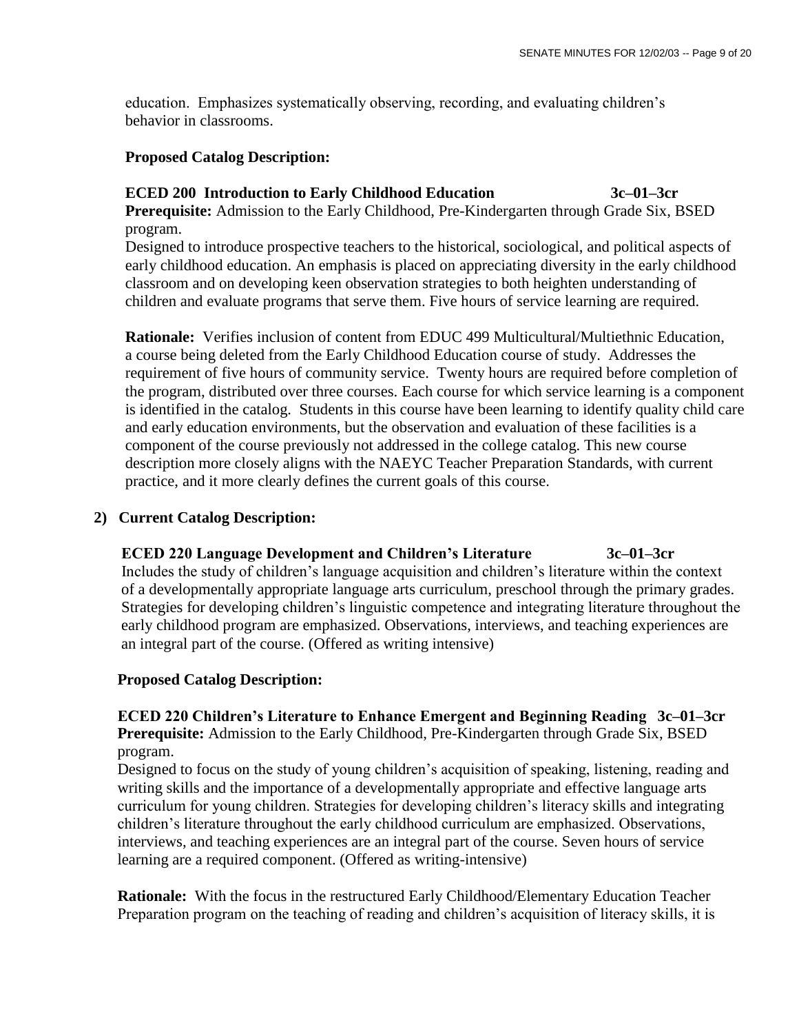education. Emphasizes systematically observing, recording, and evaluating children's behavior in classrooms.

# **Proposed Catalog Description:**

# **ECED 200 Introduction to Early Childhood Education 3c–01–3cr**

 **Prerequisite:** Admission to the Early Childhood, Pre-Kindergarten through Grade Six, BSED program.

 Designed to introduce prospective teachers to the historical, sociological, and political aspects of early childhood education. An emphasis is placed on appreciating diversity in the early childhood classroom and on developing keen observation strategies to both heighten understanding of children and evaluate programs that serve them. Five hours of service learning are required.

 **Rationale:** Verifies inclusion of content from EDUC 499 Multicultural/Multiethnic Education, a course being deleted from the Early Childhood Education course of study. Addresses the requirement of five hours of community service. Twenty hours are required before completion of the program, distributed over three courses. Each course for which service learning is a component is identified in the catalog. Students in this course have been learning to identify quality child care and early education environments, but the observation and evaluation of these facilities is a component of the course previously not addressed in the college catalog. This new course description more closely aligns with the NAEYC Teacher Preparation Standards, with current practice, and it more clearly defines the current goals of this course.

# **2) Current Catalog Description:**

# **ECED 220 Language Development and Children's Literature 3c–01–3cr**

 Includes the study of children's language acquisition and children's literature within the context of a developmentally appropriate language arts curriculum, preschool through the primary grades. Strategies for developing children's linguistic competence and integrating literature throughout the early childhood program are emphasized. Observations, interviews, and teaching experiences are an integral part of the course. (Offered as writing intensive)

# **Proposed Catalog Description:**

 **ECED 220 Children's Literature to Enhance Emergent and Beginning Reading 3c–01–3cr Prerequisite:** Admission to the Early Childhood, Pre-Kindergarten through Grade Six, BSED program.

 Designed to focus on the study of young children's acquisition of speaking, listening, reading and writing skills and the importance of a developmentally appropriate and effective language arts curriculum for young children. Strategies for developing children's literacy skills and integrating children's literature throughout the early childhood curriculum are emphasized. Observations, interviews, and teaching experiences are an integral part of the course. Seven hours of service learning are a required component. (Offered as writing-intensive)

 **Rationale:** With the focus in the restructured Early Childhood/Elementary Education Teacher Preparation program on the teaching of reading and children's acquisition of literacy skills, it is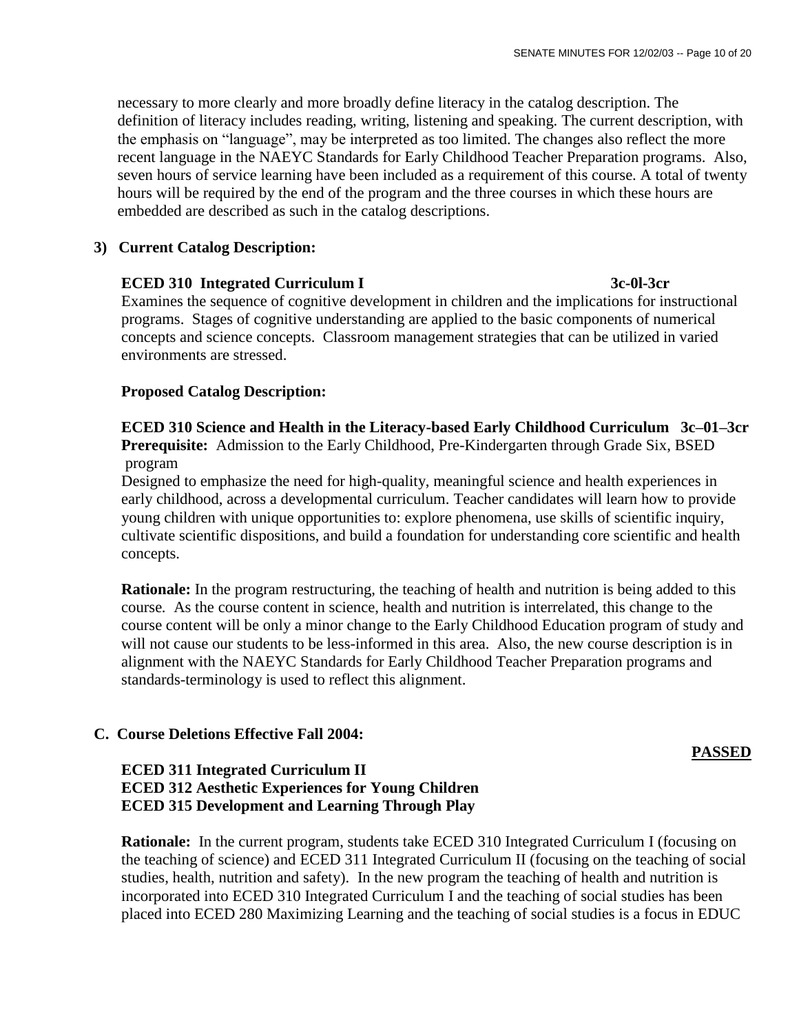necessary to more clearly and more broadly define literacy in the catalog description. The definition of literacy includes reading, writing, listening and speaking. The current description, with the emphasis on "language", may be interpreted as too limited. The changes also reflect the more recent language in the NAEYC Standards for Early Childhood Teacher Preparation programs. Also, seven hours of service learning have been included as a requirement of this course. A total of twenty hours will be required by the end of the program and the three courses in which these hours are embedded are described as such in the catalog descriptions.

# **3) Current Catalog Description:**

# **ECED 310 Integrated Curriculum I 3c-0l-3cr**

Examines the sequence of cognitive development in children and the implications for instructional programs. Stages of cognitive understanding are applied to the basic components of numerical concepts and science concepts. Classroom management strategies that can be utilized in varied environments are stressed.

# **Proposed Catalog Description:**

 **ECED 310 Science and Health in the Literacy-based Early Childhood Curriculum 3c–01–3cr Prerequisite:** Admission to the Early Childhood, Pre-Kindergarten through Grade Six, BSED program

 Designed to emphasize the need for high-quality, meaningful science and health experiences in early childhood, across a developmental curriculum. Teacher candidates will learn how to provide young children with unique opportunities to: explore phenomena, use skills of scientific inquiry, cultivate scientific dispositions, and build a foundation for understanding core scientific and health concepts.

**Rationale:** In the program restructuring, the teaching of health and nutrition is being added to this course*.* As the course content in science, health and nutrition is interrelated, this change to the course content will be only a minor change to the Early Childhood Education program of study and will not cause our students to be less-informed in this area. Also, the new course description is in alignment with the NAEYC Standards for Early Childhood Teacher Preparation programs and standards-terminology is used to reflect this alignment.

## **C. Course Deletions Effective Fall 2004:**

**PASSED** 

# **ECED 311 Integrated Curriculum II ECED 312 Aesthetic Experiences for Young Children ECED 315 Development and Learning Through Play**

 **Rationale:** In the current program, students take ECED 310 Integrated Curriculum I (focusing on the teaching of science) and ECED 311 Integrated Curriculum II (focusing on the teaching of social studies, health, nutrition and safety). In the new program the teaching of health and nutrition is incorporated into ECED 310 Integrated Curriculum I and the teaching of social studies has been placed into ECED 280 Maximizing Learning and the teaching of social studies is a focus in EDUC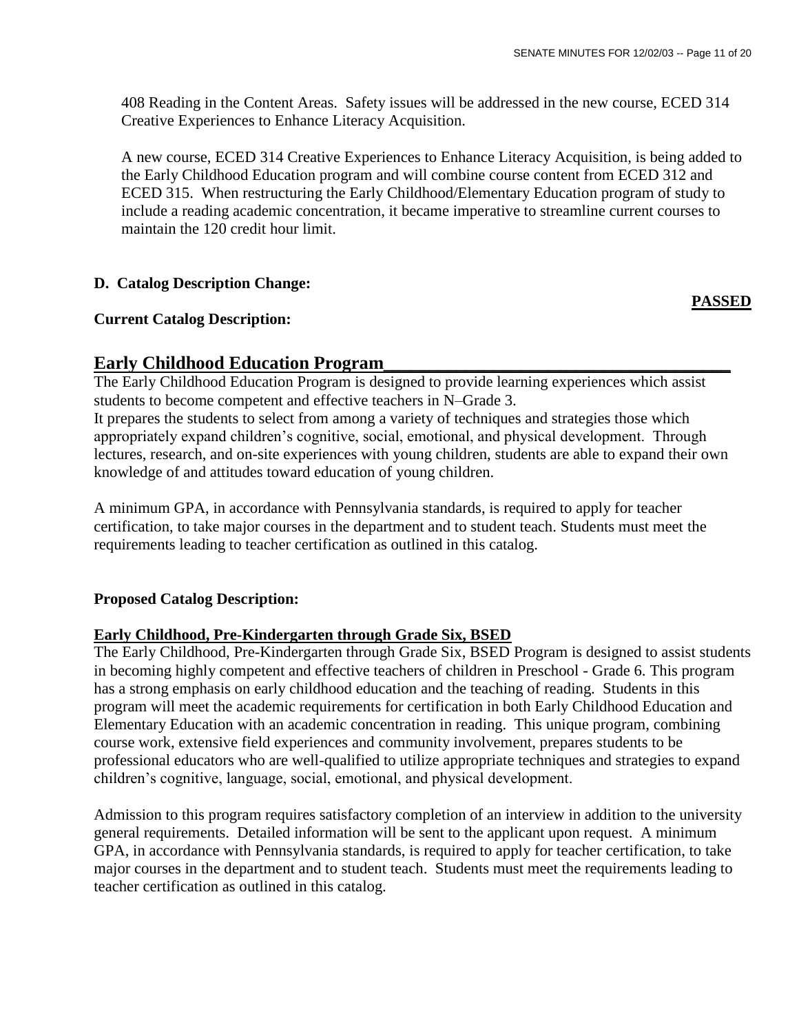408 Reading in the Content Areas. Safety issues will be addressed in the new course, ECED 314 Creative Experiences to Enhance Literacy Acquisition.

A new course, ECED 314 Creative Experiences to Enhance Literacy Acquisition, is being added to the Early Childhood Education program and will combine course content from ECED 312 and ECED 315. When restructuring the Early Childhood/Elementary Education program of study to include a reading academic concentration, it became imperative to streamline current courses to maintain the 120 credit hour limit.

# **D. Catalog Description Change:**

# **Current Catalog Description:**

**PASSED**

# **Early Childhood Education Program\_\_\_\_\_\_\_\_\_\_\_\_\_\_\_\_\_\_\_\_\_\_\_\_\_\_\_\_\_\_\_\_\_\_\_\_\_\_**

The Early Childhood Education Program is designed to provide learning experiences which assist students to become competent and effective teachers in N–Grade 3.

It prepares the students to select from among a variety of techniques and strategies those which appropriately expand children's cognitive, social, emotional, and physical development. Through lectures, research, and on-site experiences with young children, students are able to expand their own knowledge of and attitudes toward education of young children.

A minimum GPA, in accordance with Pennsylvania standards, is required to apply for teacher certification, to take major courses in the department and to student teach. Students must meet the requirements leading to teacher certification as outlined in this catalog.

# **Proposed Catalog Description:**

# **Early Childhood, Pre-Kindergarten through Grade Six, BSED**

The Early Childhood, Pre-Kindergarten through Grade Six, BSED Program is designed to assist students in becoming highly competent and effective teachers of children in Preschool - Grade 6. This program has a strong emphasis on early childhood education and the teaching of reading. Students in this program will meet the academic requirements for certification in both Early Childhood Education and Elementary Education with an academic concentration in reading. This unique program, combining course work, extensive field experiences and community involvement, prepares students to be professional educators who are well-qualified to utilize appropriate techniques and strategies to expand children's cognitive, language, social, emotional, and physical development.

Admission to this program requires satisfactory completion of an interview in addition to the university general requirements. Detailed information will be sent to the applicant upon request. A minimum GPA, in accordance with Pennsylvania standards, is required to apply for teacher certification, to take major courses in the department and to student teach. Students must meet the requirements leading to teacher certification as outlined in this catalog.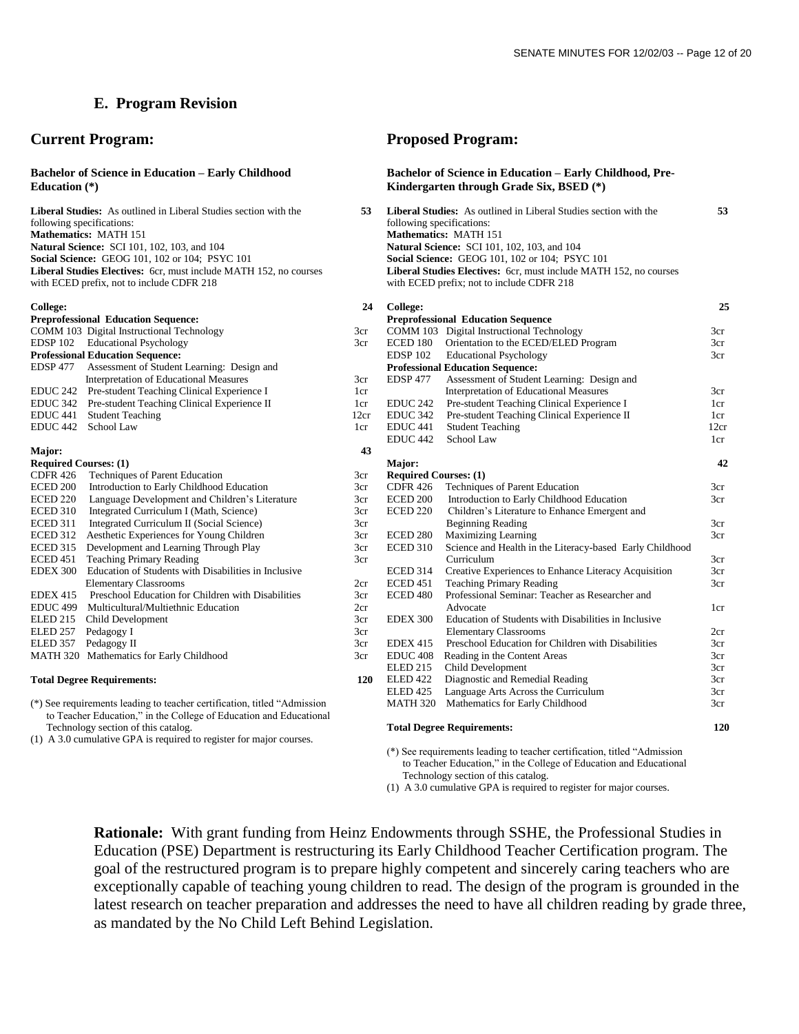# **E. Program Revision**

## **Current Program:**

#### **Bachelor of Science in Education – Early Childhood Education (\*)**

| <b>Liberal Studies:</b> As outlined in Liberal Studies section with the  |
|--------------------------------------------------------------------------|
| following specifications:                                                |
| <b>Mathematics: MATH 151</b>                                             |
| <b>Natural Science: SCI 101, 102, 103, and 104</b>                       |
| <b>Social Science: GEOG 101, 102 or 104; PSYC 101</b>                    |
| <b>Liberal Studies Electives:</b> 6cr. must include MATH 152, no courses |
| with ECED prefix, not to include CDFR 218                                |

#### **College:**

|                              | <b>Preprofessional Education Sequence:</b>           |
|------------------------------|------------------------------------------------------|
|                              | COMM 103 Digital Instructional Technology            |
| EDSP 102                     | <b>Educational Psychology</b>                        |
|                              | <b>Professional Education Sequence:</b>              |
| <b>EDSP 477</b>              | Assessment of Student Learning: Design and           |
|                              | <b>Interpretation of Educational Measures</b>        |
| <b>EDUC 242</b>              | Pre-student Teaching Clinical Experience I           |
| EDUC 342                     | Pre-student Teaching Clinical Experience II          |
| EDUC <sub>441</sub>          | <b>Student Teaching</b>                              |
| EDUC 442                     | School Law                                           |
|                              |                                                      |
| Major:                       |                                                      |
| <b>Required Courses: (1)</b> |                                                      |
| <b>CDFR 426</b>              | Techniques of Parent Education                       |
| <b>ECED 200</b>              | Introduction to Early Childhood Education            |
| <b>ECED 220</b>              | Language Development and Children's Literature       |
| ECED 310                     | Integrated Curriculum I (Math, Science)              |
| <b>ECED 311</b>              | Integrated Curriculum II (Social Science)            |
| <b>ECED 312</b>              | Aesthetic Experiences for Young Children             |
| ECED 315                     | Development and Learning Through Play                |
| ECED 451                     | <b>Teaching Primary Reading</b>                      |
| <b>EDEX 300</b>              | Education of Students with Disabilities in Inclusive |
|                              | <b>Elementary Classrooms</b>                         |
| <b>EDEX 415</b>              | Preschool Education for Children with Disabilities   |
| EDUC <sub>499</sub>          | Multicultural/Multiethnic Education                  |
| ELED 215                     | Child Development                                    |
| ELED 257                     | Pedagogy I                                           |
| ELED 357                     | Pedagogy II                                          |
| <b>MATH 320</b>              | Mathematics for Early Childhood                      |
|                              |                                                      |

#### **Total Degree Requirements:**

(\*) See requirements leading to teacher certification, titled "Admission to Teacher Education," in the College of Education and Educational Technology section of this catalog.

(1) A 3.0 cumulative GPA is required to register for major courses.

## **Proposed Program:**

#### **Bachelor of Science in Education – Early Childhood, Pre-Kindergarten through Grade Six, BSED (\*)**

| -53 | <b>Liberal Studies:</b> As outlined in Liberal Studies section with the                                        | 53 |
|-----|----------------------------------------------------------------------------------------------------------------|----|
|     | following specifications:                                                                                      |    |
|     | <b>Mathematics: MATH 151</b>                                                                                   |    |
|     | <b>Natural Science: SCI 101, 102, 103, and 104</b>                                                             |    |
|     | <b>Social Science: GEOG 101, 102 or 104; PSYC 101</b>                                                          |    |
|     | Liberal Studies Electives: 6cr, must include MATH 152, no courses<br>with ECED prefix; not to include CDFR 218 |    |
|     |                                                                                                                |    |

| 24   | <b>College:</b>              |                                                          | 25              |
|------|------------------------------|----------------------------------------------------------|-----------------|
|      |                              | <b>Preprofessional Education Sequence</b>                |                 |
| 3cr  | COMM 103                     | Digital Instructional Technology                         | 3cr             |
| 3cr  | ECED 180                     | Orientation to the ECED/ELED Program                     | 3cr             |
|      | <b>EDSP 102</b>              | <b>Educational Psychology</b>                            | 3cr             |
|      |                              | <b>Professional Education Sequence:</b>                  |                 |
| 3cr  | <b>EDSP 477</b>              | Assessment of Student Learning: Design and               |                 |
| 1cr  |                              | Interpretation of Educational Measures                   | 3 <sub>cr</sub> |
| 1cr  | EDUC <sub>242</sub>          | Pre-student Teaching Clinical Experience I               | 1cr             |
| 12cr | <b>EDUC 342</b>              | Pre-student Teaching Clinical Experience II              | 1cr             |
| 1cr  | EDUC <sub>441</sub>          | <b>Student Teaching</b>                                  | 12cr            |
|      | EDUC <sub>442</sub>          | School Law                                               | 1cr             |
| 43   |                              |                                                          |                 |
|      | Major:                       |                                                          | 42              |
| 3cr  | <b>Required Courses: (1)</b> |                                                          |                 |
| 3cr  | <b>CDFR 426</b>              | <b>Techniques of Parent Education</b>                    | 3cr             |
| 3cr  | ECED 200                     | Introduction to Early Childhood Education                | 3cr             |
| 3cr  | ECED 220                     | Children's Literature to Enhance Emergent and            |                 |
| 3cr  |                              | <b>Beginning Reading</b>                                 | 3cr             |
| 3cr  | ECED 280                     | <b>Maximizing Learning</b>                               | 3cr             |
| 3cr  | <b>ECED 310</b>              | Science and Health in the Literacy-based Early Childhood |                 |
| 3cr  |                              | Curriculum                                               | 3cr             |
|      | <b>ECED 314</b>              | Creative Experiences to Enhance Literacy Acquisition     | 3cr             |
| 2cr  | <b>ECED 451</b>              | <b>Teaching Primary Reading</b>                          | 3cr             |
| 3cr  | ECED <sub>480</sub>          | Professional Seminar: Teacher as Researcher and          |                 |
| 2cr  |                              | Advocate                                                 | 1cr             |
| 3cr  | <b>EDEX 300</b>              | Education of Students with Disabilities in Inclusive     |                 |
| 3cr  |                              | <b>Elementary Classrooms</b>                             | 2cr             |
| 3cr  | <b>EDEX 415</b>              | Preschool Education for Children with Disabilities       | 3 <sub>cr</sub> |
| 3cr  | EDUC <sub>408</sub>          | Reading in the Content Areas                             | 3 <sub>cr</sub> |
|      | <b>ELED 215</b>              | Child Development                                        | 3cr             |
| 120  | <b>ELED 422</b>              | Diagnostic and Remedial Reading                          | 3cr             |
|      | <b>ELED 425</b>              | Language Arts Across the Curriculum                      | 3cr             |
|      | <b>MATH 320</b>              | Mathematics for Early Childhood                          | 3cr             |
|      |                              | <b>Total Degree Requirements:</b>                        | 120             |

#### **Total Degree Requirements:**

(\*) See requirements leading to teacher certification, titled "Admission to Teacher Education," in the College of Education and Educational Technology section of this catalog.

(1) A 3.0 cumulative GPA is required to register for major courses.

**Rationale:** With grant funding from Heinz Endowments through SSHE, the Professional Studies in Education (PSE) Department is restructuring its Early Childhood Teacher Certification program. The goal of the restructured program is to prepare highly competent and sincerely caring teachers who are exceptionally capable of teaching young children to read. The design of the program is grounded in the latest research on teacher preparation and addresses the need to have all children reading by grade three, as mandated by the No Child Left Behind Legislation.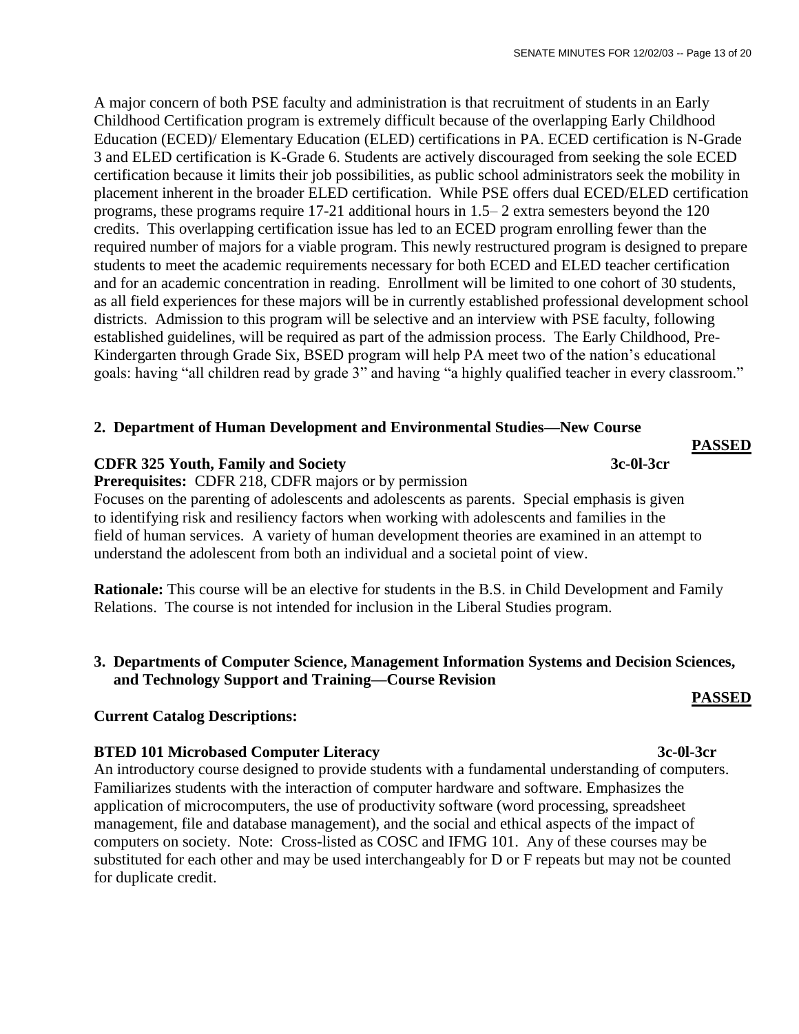A major concern of both PSE faculty and administration is that recruitment of students in an Early Childhood Certification program is extremely difficult because of the overlapping Early Childhood Education (ECED)/ Elementary Education (ELED) certifications in PA. ECED certification is N-Grade 3 and ELED certification is K-Grade 6. Students are actively discouraged from seeking the sole ECED certification because it limits their job possibilities, as public school administrators seek the mobility in placement inherent in the broader ELED certification. While PSE offers dual ECED/ELED certification programs, these programs require 17-21 additional hours in 1.5– 2 extra semesters beyond the 120 credits. This overlapping certification issue has led to an ECED program enrolling fewer than the required number of majors for a viable program. This newly restructured program is designed to prepare students to meet the academic requirements necessary for both ECED and ELED teacher certification and for an academic concentration in reading. Enrollment will be limited to one cohort of 30 students, as all field experiences for these majors will be in currently established professional development school districts. Admission to this program will be selective and an interview with PSE faculty, following established guidelines, will be required as part of the admission process. The Early Childhood, Pre-Kindergarten through Grade Six, BSED program will help PA meet two of the nation's educational goals: having "all children read by grade 3" and having "a highly qualified teacher in every classroom."

# **2. Department of Human Development and Environmental Studies—New Course**

# **CDFR 325 Youth, Family and Society 3c-0l-3cr**

**Prerequisites:** CDFR 218, CDFR majors or by permission

Focuses on the parenting of adolescents and adolescents as parents. Special emphasis is given to identifying risk and resiliency factors when working with adolescents and families in the field of human services. A variety of human development theories are examined in an attempt to understand the adolescent from both an individual and a societal point of view.

**Rationale:** This course will be an elective for students in the B.S. in Child Development and Family Relations. The course is not intended for inclusion in the Liberal Studies program.

# **3. Departments of Computer Science, Management Information Systems and Decision Sciences, and Technology Support and Training—Course Revision**

## **Current Catalog Descriptions:**

## **BTED 101 Microbased Computer Literacy 3c-0l-3cr**

An introductory course designed to provide students with a fundamental understanding of computers. Familiarizes students with the interaction of computer hardware and software. Emphasizes the application of microcomputers, the use of productivity software (word processing, spreadsheet management, file and database management), and the social and ethical aspects of the impact of computers on society. Note: Cross-listed as COSC and IFMG 101. Any of these courses may be substituted for each other and may be used interchangeably for D or F repeats but may not be counted for duplicate credit.

# **PASSED**

**PASSED**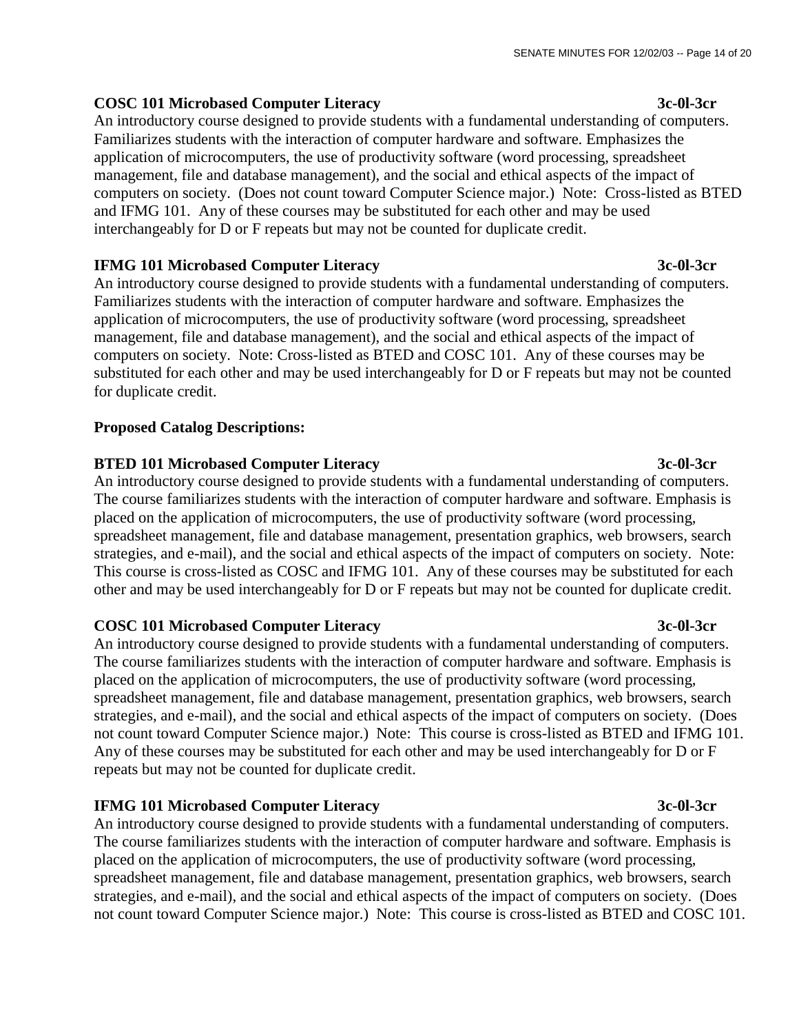# **COSC 101 Microbased Computer Literacy 3c-0l-3cr**

An introductory course designed to provide students with a fundamental understanding of computers. Familiarizes students with the interaction of computer hardware and software. Emphasizes the application of microcomputers, the use of productivity software (word processing, spreadsheet management, file and database management), and the social and ethical aspects of the impact of computers on society. (Does not count toward Computer Science major.) Note: Cross-listed as BTED and IFMG 101. Any of these courses may be substituted for each other and may be used interchangeably for D or F repeats but may not be counted for duplicate credit.

# **IFMG 101 Microbased Computer Literacy 3c-0l-3cr**

An introductory course designed to provide students with a fundamental understanding of computers. Familiarizes students with the interaction of computer hardware and software. Emphasizes the application of microcomputers, the use of productivity software (word processing, spreadsheet management, file and database management), and the social and ethical aspects of the impact of computers on society. Note: Cross-listed as BTED and COSC 101. Any of these courses may be substituted for each other and may be used interchangeably for D or F repeats but may not be counted for duplicate credit.

# **Proposed Catalog Descriptions:**

# **BTED 101 Microbased Computer Literacy 3c-0l-3cr**

An introductory course designed to provide students with a fundamental understanding of computers. The course familiarizes students with the interaction of computer hardware and software. Emphasis is placed on the application of microcomputers, the use of productivity software (word processing, spreadsheet management, file and database management, presentation graphics, web browsers, search strategies, and e-mail), and the social and ethical aspects of the impact of computers on society. Note: This course is cross-listed as COSC and IFMG 101. Any of these courses may be substituted for each other and may be used interchangeably for D or F repeats but may not be counted for duplicate credit.

# **COSC 101 Microbased Computer Literacy 3c-0l-3cr**

An introductory course designed to provide students with a fundamental understanding of computers. The course familiarizes students with the interaction of computer hardware and software. Emphasis is placed on the application of microcomputers, the use of productivity software (word processing, spreadsheet management, file and database management, presentation graphics, web browsers, search strategies, and e-mail), and the social and ethical aspects of the impact of computers on society. (Does not count toward Computer Science major.) Note: This course is cross-listed as BTED and IFMG 101. Any of these courses may be substituted for each other and may be used interchangeably for D or F repeats but may not be counted for duplicate credit.

# **IFMG 101 Microbased Computer Literacy 3c-0l-3cr**

An introductory course designed to provide students with a fundamental understanding of computers. The course familiarizes students with the interaction of computer hardware and software. Emphasis is placed on the application of microcomputers, the use of productivity software (word processing, spreadsheet management, file and database management, presentation graphics, web browsers, search strategies, and e-mail), and the social and ethical aspects of the impact of computers on society. (Does not count toward Computer Science major.) Note: This course is cross-listed as BTED and COSC 101.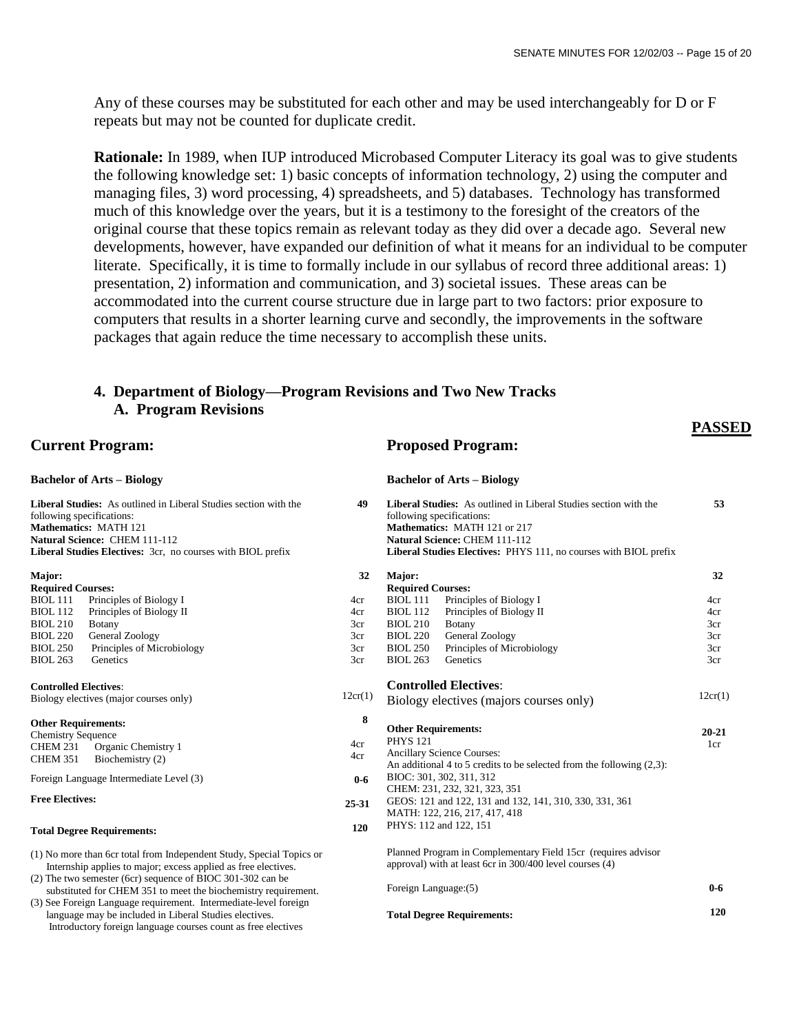**PASSED**

Any of these courses may be substituted for each other and may be used interchangeably for D or F repeats but may not be counted for duplicate credit.

**Rationale:** In 1989, when IUP introduced Microbased Computer Literacy its goal was to give students the following knowledge set: 1) basic concepts of information technology, 2) using the computer and managing files, 3) word processing, 4) spreadsheets, and 5) databases. Technology has transformed much of this knowledge over the years, but it is a testimony to the foresight of the creators of the original course that these topics remain as relevant today as they did over a decade ago. Several new developments, however, have expanded our definition of what it means for an individual to be computer literate. Specifically, it is time to formally include in our syllabus of record three additional areas: 1) presentation, 2) information and communication, and 3) societal issues. These areas can be accommodated into the current course structure due in large part to two factors: prior exposure to computers that results in a shorter learning curve and secondly, the improvements in the software packages that again reduce the time necessary to accomplish these units.

# **4. Department of Biology—Program Revisions and Two New Tracks A. Program Revisions**

## **Current Program:**

# **Bachelor of Arts – Biology**

**Liberal Studies:** As outlined in Liberal Studies section with the following specifications: **Mathematics:** MATH 121 **Natural Science:** CHEM 111-112 **Liberal Studies Electives:** 3cr, no courses with BIOL prefix

#### **Major:**

| <b>Required Courses:</b> |                            |  |  |
|--------------------------|----------------------------|--|--|
| <b>BIOL</b> 111          | Principles of Biology I    |  |  |
| <b>BIOL</b> 112          | Principles of Biology II   |  |  |
| <b>BIOL 210</b>          | <b>B</b> otany             |  |  |
| <b>BIOL 220</b>          | General Zoology            |  |  |
| <b>BIOL 250</b>          | Principles of Microbiology |  |  |
| BIOL 263                 | Genetics                   |  |  |

#### **Controlled Electives**:

| Biology electives (major courses only) |  |  |
|----------------------------------------|--|--|
|                                        |  |  |

#### **Other Requirements:**

| <b>Chemistry Sequence</b> |                     |
|---------------------------|---------------------|
| <b>CHEM 231</b>           | Organic Chemistry 1 |
| <b>CHEM 351</b>           | Biochemistry (2)    |
|                           |                     |

Foreign Language Intermediate Level (3)

#### **Free Electives:**

#### **Total Degree Requirements:**

- (1) No more than 6cr total from Independent Study, Special Topics or Internship applies to major; excess applied as free electives.
- (2) The two semester (6cr) sequence of BIOC 301-302 can be substituted for CHEM 351 to meet the biochemistry requirement.
- (3) See Foreign Language requirement. Intermediate-level foreign language may be included in Liberal Studies electives.
- Introductory foreign language courses count as free electives

# **Proposed Program:**

#### **Bachelor of Arts – Biology**

| 49         | following specifications:                     | <b>Liberal Studies:</b> As outlined in Liberal Studies section with the                                       | 53         |
|------------|-----------------------------------------------|---------------------------------------------------------------------------------------------------------------|------------|
|            |                                               | Mathematics: MATH 121 or 217<br><b>Natural Science: CHEM 111-112</b>                                          |            |
|            |                                               | Liberal Studies Electives: PHYS 111, no courses with BIOL prefix                                              |            |
| 32         | Major:                                        |                                                                                                               | 32         |
|            | <b>Required Courses:</b>                      |                                                                                                               |            |
| 4cr        | <b>BIOL 111</b>                               | Principles of Biology I                                                                                       | 4cr        |
| 4cr<br>3cr | <b>BIOL</b> 112<br><b>BIOL 210</b>            | Principles of Biology II                                                                                      | 4cr<br>3cr |
| 3cr        | <b>BIOL 220</b>                               | <b>Botany</b><br>General Zoology                                                                              | 3cr        |
| 3cr        | <b>BIOL 250</b>                               | Principles of Microbiology                                                                                    | 3cr        |
| 3cr        | <b>BIOL 263</b>                               | Genetics                                                                                                      | 3cr        |
|            |                                               |                                                                                                               |            |
|            |                                               | <b>Controlled Electives:</b>                                                                                  |            |
| 12cr(1)    |                                               | Biology electives (majors courses only)                                                                       | 12cr(1)    |
| 8          |                                               |                                                                                                               |            |
|            | <b>Other Requirements:</b><br><b>PHYS 121</b> |                                                                                                               | $20 - 21$  |
| 4cr        |                                               |                                                                                                               | 1cr        |
| 4cr        |                                               | <b>Ancillary Science Courses:</b><br>An additional 4 to 5 credits to be selected from the following $(2,3)$ : |            |
|            |                                               | BIOC: 301, 302, 311, 312                                                                                      |            |
| $0-6$      |                                               | CHEM: 231, 232, 321, 323, 351                                                                                 |            |
|            |                                               | GEOS: 121 and 122, 131 and 132, 141, 310, 330, 331, 361                                                       |            |
| 25-31      |                                               | MATH: 122, 216, 217, 417, 418                                                                                 |            |
| 120        | PHYS: 112 and 122, 151                        |                                                                                                               |            |
|            |                                               |                                                                                                               |            |
|            |                                               | Planned Program in Complementary Field 15cr (requires advisor                                                 |            |
|            |                                               | approval) with at least 6cr in 300/400 level courses (4)                                                      |            |
|            | Foreign Language: (5)                         |                                                                                                               | $0 - 6$    |
|            |                                               |                                                                                                               |            |

#### **Total Degree Requirements: 120**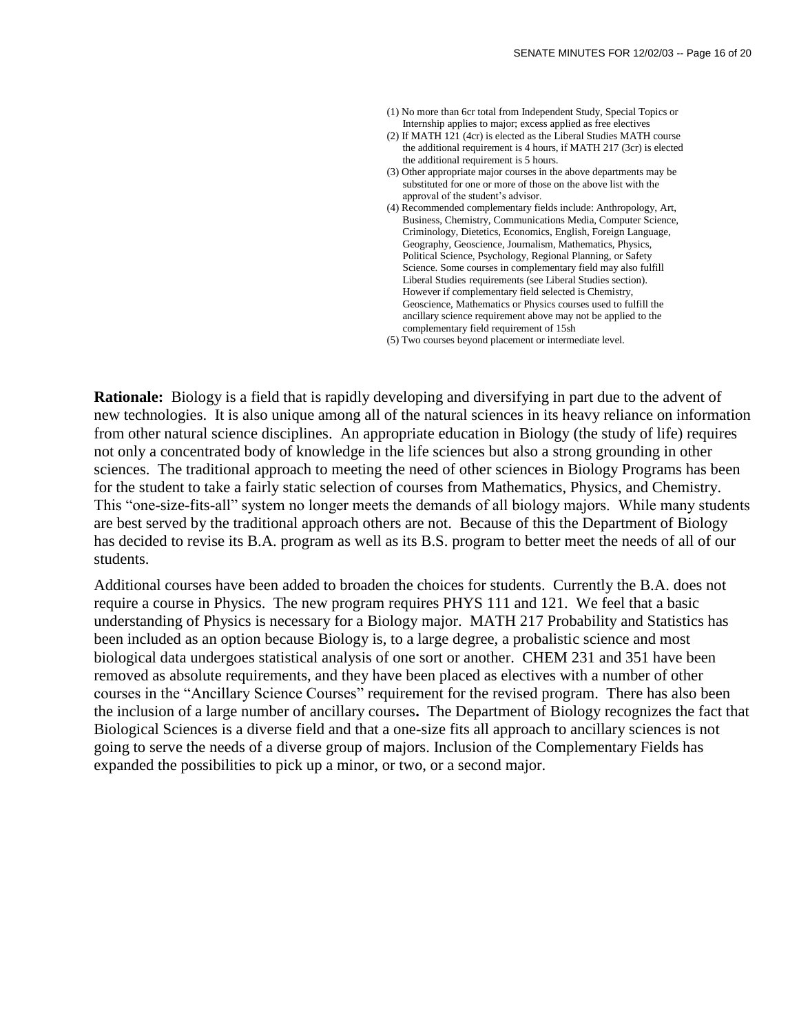- (1) No more than 6cr total from Independent Study, Special Topics or Internship applies to major; excess applied as free electives
- (2) If MATH 121 (4cr) is elected as the Liberal Studies MATH course the additional requirement is 4 hours, if MATH 217 (3cr) is elected the additional requirement is 5 hours.
- (3) Other appropriate major courses in the above departments may be substituted for one or more of those on the above list with the approval of the student's advisor.
- (4) Recommended complementary fields include: Anthropology, Art, Business, Chemistry, Communications Media, Computer Science, Criminology, Dietetics, Economics, English, Foreign Language, Geography, Geoscience, Journalism, Mathematics, Physics, Political Science, Psychology, Regional Planning, or Safety Science. Some courses in complementary field may also fulfill Liberal Studies requirements (see Liberal Studies section). However if complementary field selected is Chemistry, Geoscience, Mathematics or Physics courses used to fulfill the ancillary science requirement above may not be applied to the complementary field requirement of 15sh
- (5) Two courses beyond placement or intermediate level.

**Rationale:** Biology is a field that is rapidly developing and diversifying in part due to the advent of new technologies. It is also unique among all of the natural sciences in its heavy reliance on information from other natural science disciplines. An appropriate education in Biology (the study of life) requires not only a concentrated body of knowledge in the life sciences but also a strong grounding in other sciences. The traditional approach to meeting the need of other sciences in Biology Programs has been for the student to take a fairly static selection of courses from Mathematics, Physics, and Chemistry. This "one-size-fits-all" system no longer meets the demands of all biology majors. While many students are best served by the traditional approach others are not. Because of this the Department of Biology has decided to revise its B.A. program as well as its B.S. program to better meet the needs of all of our students.

Additional courses have been added to broaden the choices for students. Currently the B.A. does not require a course in Physics. The new program requires PHYS 111 and 121. We feel that a basic understanding of Physics is necessary for a Biology major. MATH 217 Probability and Statistics has been included as an option because Biology is, to a large degree, a probalistic science and most biological data undergoes statistical analysis of one sort or another. CHEM 231 and 351 have been removed as absolute requirements, and they have been placed as electives with a number of other courses in the "Ancillary Science Courses" requirement for the revised program. There has also been the inclusion of a large number of ancillary courses**.** The Department of Biology recognizes the fact that Biological Sciences is a diverse field and that a one-size fits all approach to ancillary sciences is not going to serve the needs of a diverse group of majors. Inclusion of the Complementary Fields has expanded the possibilities to pick up a minor, or two, or a second major.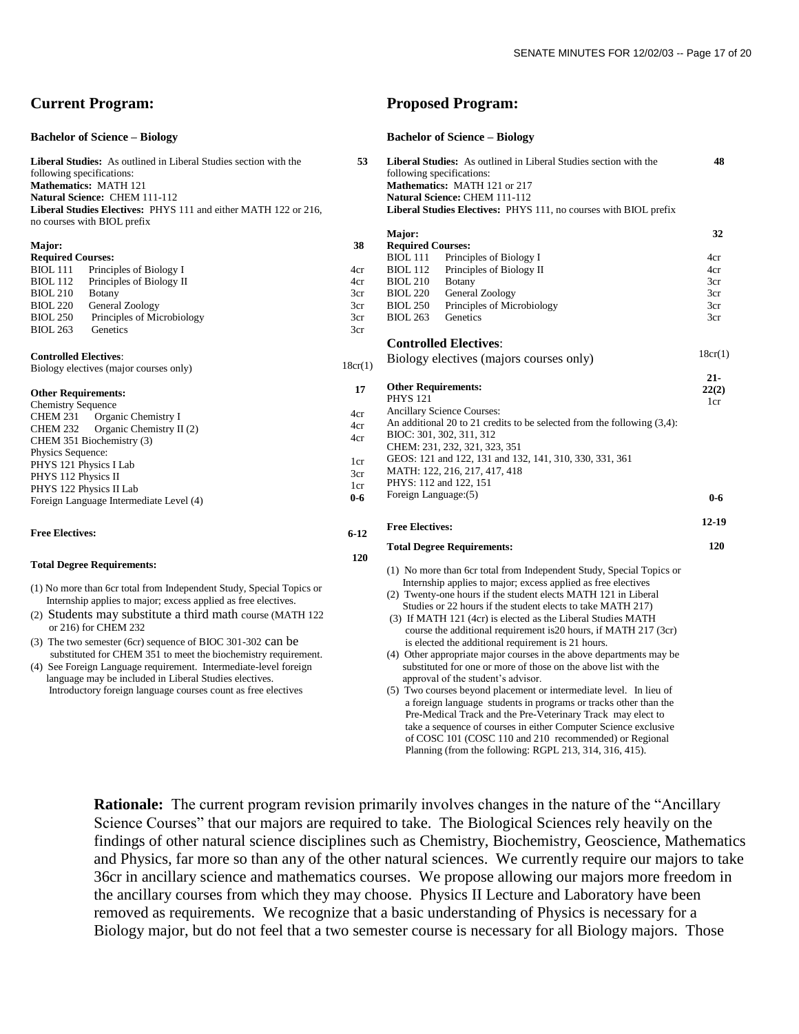## **Current Program:**

#### **Bachelor of Science – Biology**

**Liberal Studies:** As outlined in Liberal Studies section with the following specifications: **Mathematics:** MATH 121 **Natural Science:** CHEM 111-112 **Liberal Studies Electives:** PHYS 111 and either MATH 122 or 216, no courses with BIOL prefix

#### **Major:**

| <b>Required Courses:</b> |                            |  |
|--------------------------|----------------------------|--|
| <b>BIOL</b> 111          | Principles of Biology I    |  |
| <b>BIOL</b> 112          | Principles of Biology II   |  |
| <b>BIOL 210</b>          | Botany                     |  |
| <b>BIOL 220</b>          | General Zoology            |  |
| <b>BIOL 250</b>          | Principles of Microbiology |  |
| <b>BIOL 263</b>          | Genetics                   |  |

#### **Controlled Electives**:

| Biology electives (major courses only) |  |
|----------------------------------------|--|
|                                        |  |

| <b>Other Requirements:</b> |  |  |  |
|----------------------------|--|--|--|
|----------------------------|--|--|--|

| <b>Chemistry Sequence</b>               |  |  |  |
|-----------------------------------------|--|--|--|
| CHEM 231 Organic Chemistry I            |  |  |  |
| CHEM 232 Organic Chemistry II (2)       |  |  |  |
| CHEM 351 Biochemistry (3)               |  |  |  |
| Physics Sequence:                       |  |  |  |
| PHYS 121 Physics I Lab                  |  |  |  |
| PHYS 112 Physics II                     |  |  |  |
| PHYS 122 Physics II Lab                 |  |  |  |
| Foreign Language Intermediate Level (4) |  |  |  |

#### **Free Electives:**

#### **Total Degree Requirements:**

(1) No more than 6cr total from Independent Study, Special Topics or Internship applies to major; excess applied as free electives.

- (2) Students may substitute a third math course (MATH 122 or 216) for CHEM 232
- (3) The two semester (6cr) sequence of BIOC 301-302 can be substituted for CHEM 351 to meet the biochemistry requirement.

(4) See Foreign Language requirement. Intermediate-level foreign language may be included in Liberal Studies electives. Introductory foreign language courses count as free electives

### **Proposed Program:**

#### **Bachelor of Science – Biology**

| 53      | Liberal Studies: As outlined in Liberal Studies section with the<br>following specifications:<br>Mathematics: MATH 121 or 217<br><b>Natural Science: CHEM 111-112</b><br>Liberal Studies Electives: PHYS 111, no courses with BIOL prefix | 48      |
|---------|-------------------------------------------------------------------------------------------------------------------------------------------------------------------------------------------------------------------------------------------|---------|
| 38      | Major:<br><b>Required Courses:</b>                                                                                                                                                                                                        | 32      |
|         | <b>BIOL</b> 111<br>Principles of Biology I                                                                                                                                                                                                | 4cr     |
| 4cr     | <b>BIOL 112</b><br>Principles of Biology II                                                                                                                                                                                               | 4cr     |
| 4cr     | <b>BIOL 210</b><br><b>B</b> otany                                                                                                                                                                                                         | 3cr     |
| 3cr     | <b>BIOL 220</b><br>General Zoology                                                                                                                                                                                                        | 3cr     |
| 3cr     | <b>BIOL 250</b><br>Principles of Microbiology                                                                                                                                                                                             | 3cr     |
| 3cr     | <b>BIOL 263</b><br>Genetics                                                                                                                                                                                                               | 3cr     |
| 3cr     |                                                                                                                                                                                                                                           |         |
|         | <b>Controlled Electives:</b>                                                                                                                                                                                                              |         |
|         |                                                                                                                                                                                                                                           | 18cr(1) |
| 18cr(1) | Biology electives (majors courses only)                                                                                                                                                                                                   |         |
|         |                                                                                                                                                                                                                                           | $21 -$  |
| 17      | <b>Other Requirements:</b>                                                                                                                                                                                                                | 22(2)   |
|         | <b>PHYS 121</b>                                                                                                                                                                                                                           | 1cr     |
| 4cr     | Ancillary Science Courses:                                                                                                                                                                                                                |         |
| 4cr     | An additional 20 to 21 credits to be selected from the following $(3,4)$ :                                                                                                                                                                |         |
| 4cr     | BIOC: 301, 302, 311, 312                                                                                                                                                                                                                  |         |
|         | CHEM: 231, 232, 321, 323, 351                                                                                                                                                                                                             |         |
| 1cr     | GEOS: 121 and 122, 131 and 132, 141, 310, 330, 331, 361                                                                                                                                                                                   |         |
| 3cr     | MATH: 122, 216, 217, 417, 418                                                                                                                                                                                                             |         |
| 1cr     | PHYS: 112 and 122, 151                                                                                                                                                                                                                    |         |
| $0-6$   | Foreign Language: (5)                                                                                                                                                                                                                     | $0 - 6$ |
|         | <b>Free Electives:</b>                                                                                                                                                                                                                    | 12-19   |
| $6-12$  |                                                                                                                                                                                                                                           |         |
|         | <b>Total Degree Requirements:</b>                                                                                                                                                                                                         | 120     |
| 120     |                                                                                                                                                                                                                                           |         |
|         | (1) No more than 6cr total from Independent Study, Special Topics or                                                                                                                                                                      |         |
|         | Internship applies to major; excess applied as free electives                                                                                                                                                                             |         |
|         | (2) Twenty-one hours if the student elects MATH 121 in Liberal                                                                                                                                                                            |         |
|         | Studies or 22 hours if the student elects to take MATH 217)                                                                                                                                                                               |         |
|         | (3) If MATH 121 (4cr) is elected as the Liberal Studies MATH                                                                                                                                                                              |         |
|         | course the additional requirement is 20 hours, if MATH 217 (3cr)                                                                                                                                                                          |         |
|         | is elected the additional requirement is 21 hours.                                                                                                                                                                                        |         |
|         | (4) Other appropriate major courses in the above departments may be                                                                                                                                                                       |         |
|         | substituted for one or more of those on the above list with the                                                                                                                                                                           |         |
|         | approval of the student's advisor.                                                                                                                                                                                                        |         |
|         | $(5)$ Two courses beyond placement or intermediate level $\Box$ In lieu of                                                                                                                                                                |         |

acement or intermediate level. In lieu of a foreign language students in programs or tracks other than the Pre-Medical Track and the Pre-Veterinary Track may elect to take a sequence of courses in either Computer Science exclusive of COSC 101 (COSC 110 and 210 recommended) or Regional Planning (from the following: RGPL 213, 314, 316, 415).

**Rationale:** The current program revision primarily involves changes in the nature of the "Ancillary" Science Courses" that our majors are required to take. The Biological Sciences rely heavily on the findings of other natural science disciplines such as Chemistry, Biochemistry, Geoscience, Mathematics and Physics, far more so than any of the other natural sciences. We currently require our majors to take 36cr in ancillary science and mathematics courses. We propose allowing our majors more freedom in the ancillary courses from which they may choose. Physics II Lecture and Laboratory have been removed as requirements. We recognize that a basic understanding of Physics is necessary for a Biology major, but do not feel that a two semester course is necessary for all Biology majors. Those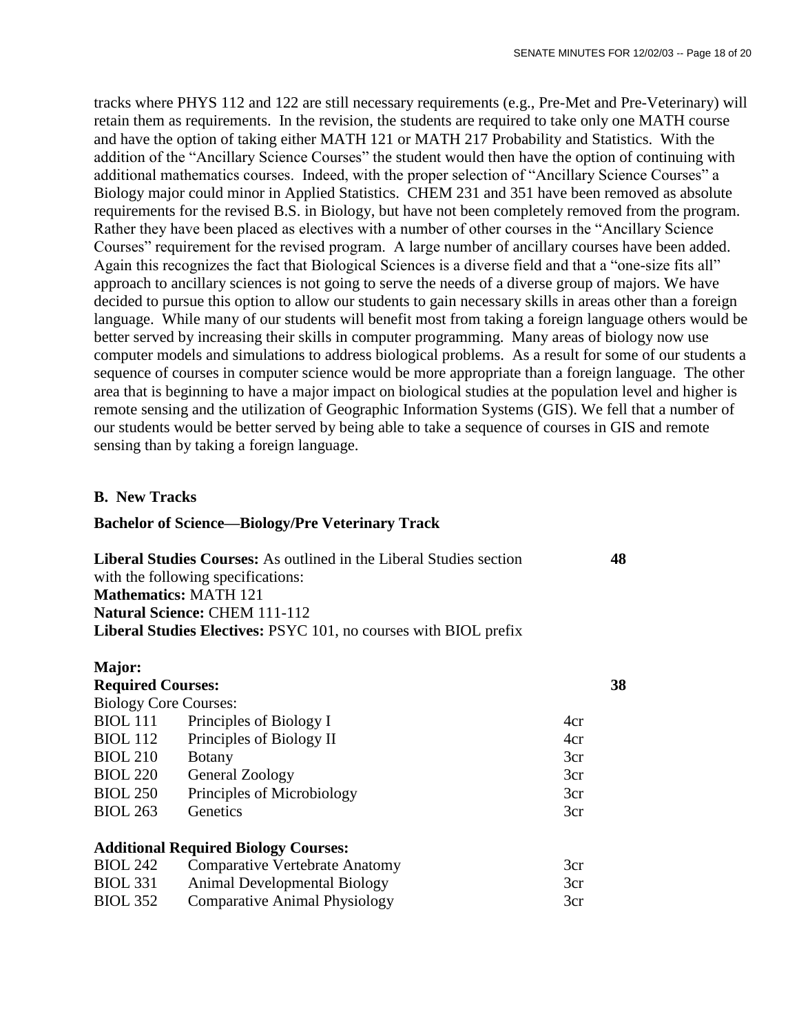tracks where PHYS 112 and 122 are still necessary requirements (e.g., Pre-Met and Pre-Veterinary) will retain them as requirements. In the revision, the students are required to take only one MATH course and have the option of taking either MATH 121 or MATH 217 Probability and Statistics. With the addition of the "Ancillary Science Courses" the student would then have the option of continuing with additional mathematics courses. Indeed, with the proper selection of "Ancillary Science Courses" a Biology major could minor in Applied Statistics. CHEM 231 and 351 have been removed as absolute requirements for the revised B.S. in Biology, but have not been completely removed from the program. Rather they have been placed as electives with a number of other courses in the "Ancillary Science Courses" requirement for the revised program. A large number of ancillary courses have been added. Again this recognizes the fact that Biological Sciences is a diverse field and that a "one-size fits all" approach to ancillary sciences is not going to serve the needs of a diverse group of majors. We have decided to pursue this option to allow our students to gain necessary skills in areas other than a foreign language. While many of our students will benefit most from taking a foreign language others would be better served by increasing their skills in computer programming. Many areas of biology now use computer models and simulations to address biological problems. As a result for some of our students a sequence of courses in computer science would be more appropriate than a foreign language. The other area that is beginning to have a major impact on biological studies at the population level and higher is remote sensing and the utilization of Geographic Information Systems (GIS). We fell that a number of our students would be better served by being able to take a sequence of courses in GIS and remote sensing than by taking a foreign language.

# **B. New Tracks**

# **Bachelor of Science—Biology/Pre Veterinary Track**

| <b>Liberal Studies Courses:</b> As outlined in the Liberal Studies section | 48 |
|----------------------------------------------------------------------------|----|
| with the following specifications:                                         |    |
| <b>Mathematics: MATH 121</b>                                               |    |
| <b>Natural Science: CHEM 111-112</b>                                       |    |
| <b>Liberal Studies Electives: PSYC 101, no courses with BIOL prefix</b>    |    |

| Major:                       |                                             |     |
|------------------------------|---------------------------------------------|-----|
| <b>Required Courses:</b>     |                                             | 38  |
| <b>Biology Core Courses:</b> |                                             |     |
| <b>BIOL</b> 111              | Principles of Biology I                     | 4cr |
| <b>BIOL</b> 112              | Principles of Biology II                    | 4cr |
| <b>BIOL 210</b>              | <b>Botany</b>                               | 3cr |
| <b>BIOL 220</b>              | General Zoology                             | 3cr |
| <b>BIOL 250</b>              | Principles of Microbiology                  | 3cr |
| <b>BIOL 263</b>              | Genetics                                    | 3cr |
|                              | <b>Additional Required Biology Courses:</b> |     |
| <b>BIOL 242</b>              | <b>Comparative Vertebrate Anatomy</b>       | 3cr |
| <b>BIOL 331</b>              | <b>Animal Developmental Biology</b>         | 3cr |
| <b>BIOL 352</b>              | <b>Comparative Animal Physiology</b>        | 3cr |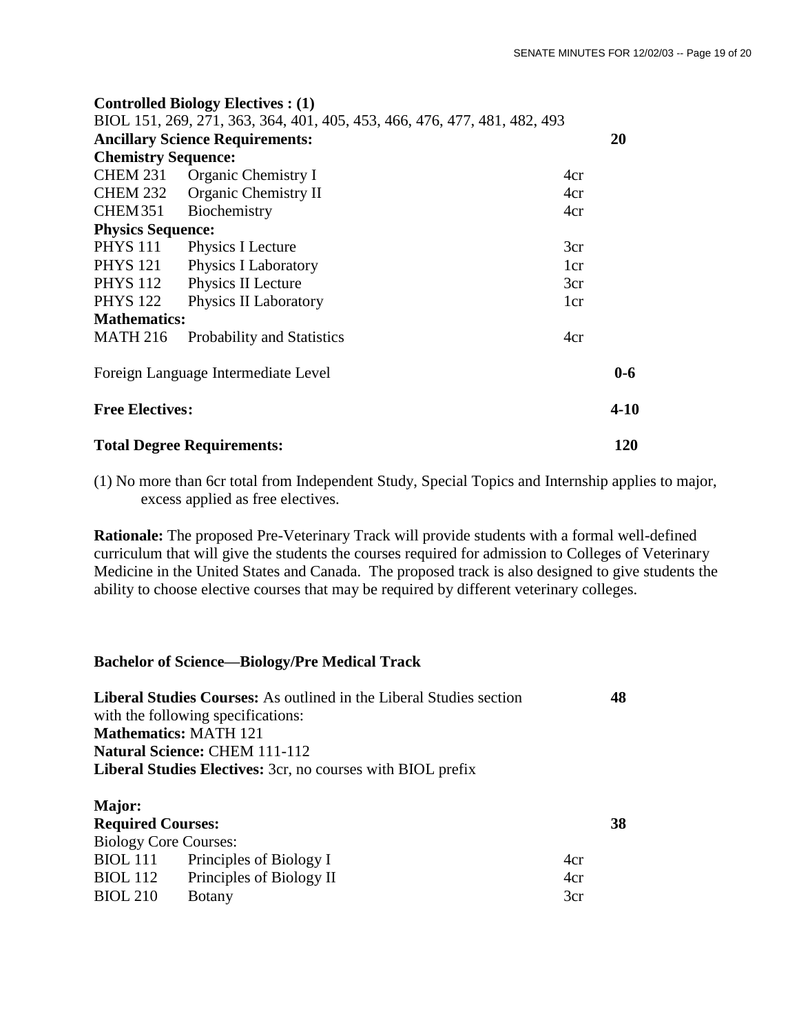|                                   | <b>Controlled Biology Electives : (1)</b>                                 |                 |          |
|-----------------------------------|---------------------------------------------------------------------------|-----------------|----------|
|                                   | BIOL 151, 269, 271, 363, 364, 401, 405, 453, 466, 476, 477, 481, 482, 493 |                 |          |
|                                   | <b>Ancillary Science Requirements:</b>                                    |                 | 20       |
| <b>Chemistry Sequence:</b>        |                                                                           |                 |          |
| CHEM 231                          | <b>Organic Chemistry I</b>                                                | 4cr             |          |
|                                   | CHEM 232 Organic Chemistry II                                             | 4cr             |          |
| CHEM351                           | Biochemistry                                                              | 4cr             |          |
| <b>Physics Sequence:</b>          |                                                                           |                 |          |
| <b>PHYS 111</b>                   | Physics I Lecture                                                         | 3cr             |          |
| <b>PHYS 121</b>                   | Physics I Laboratory                                                      | 1 <sub>cr</sub> |          |
| <b>PHYS 112</b>                   | Physics II Lecture                                                        | 3cr             |          |
| <b>PHYS 122</b>                   | Physics II Laboratory                                                     | 1cr             |          |
| <b>Mathematics:</b>               |                                                                           |                 |          |
| <b>MATH 216</b>                   | <b>Probability and Statistics</b>                                         | 4cr             |          |
|                                   | Foreign Language Intermediate Level                                       |                 | $0 - 6$  |
| <b>Free Electives:</b>            |                                                                           |                 | $4 - 10$ |
| <b>Total Degree Requirements:</b> |                                                                           | 120             |          |

(1) No more than 6cr total from Independent Study, Special Topics and Internship applies to major, excess applied as free electives.

**Rationale:** The proposed Pre-Veterinary Track will provide students with a formal well-defined curriculum that will give the students the courses required for admission to Colleges of Veterinary Medicine in the United States and Canada. The proposed track is also designed to give students the ability to choose elective courses that may be required by different veterinary colleges.

# **Bachelor of Science—Biology/Pre Medical Track**

| <b>Liberal Studies Courses:</b> As outlined in the Liberal Studies section<br>with the following specifications: |                                                                    |     | 48 |  |
|------------------------------------------------------------------------------------------------------------------|--------------------------------------------------------------------|-----|----|--|
|                                                                                                                  | <b>Mathematics: MATH 121</b>                                       |     |    |  |
|                                                                                                                  | <b>Natural Science: CHEM 111-112</b>                               |     |    |  |
|                                                                                                                  | <b>Liberal Studies Electives:</b> 3cr, no courses with BIOL prefix |     |    |  |
| <b>Major:</b><br><b>Required Courses:</b>                                                                        |                                                                    |     | 38 |  |
| <b>Biology Core Courses:</b>                                                                                     |                                                                    |     |    |  |
| <b>BIOL</b> 111                                                                                                  | Principles of Biology I                                            | 4cr |    |  |
| <b>BIOL</b> 112                                                                                                  | Principles of Biology II                                           | 4cr |    |  |
| <b>BIOL 210</b>                                                                                                  | Botany                                                             | 3cr |    |  |